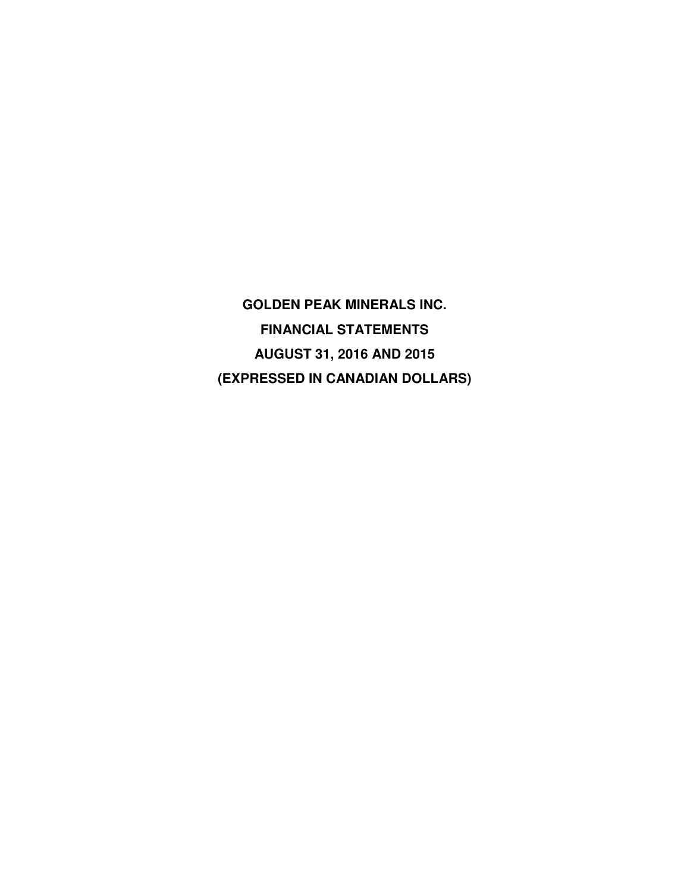**GOLDEN PEAK MINERALS INC. FINANCIAL STATEMENTS AUGUST 31, 2016 AND 2015 (EXPRESSED IN CANADIAN DOLLARS)**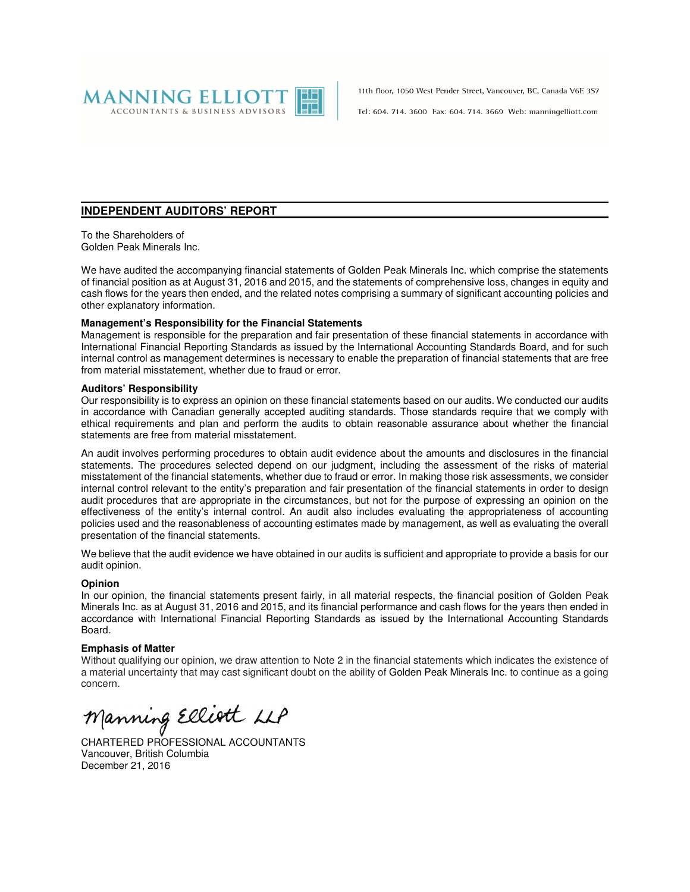

11th floor, 1050 West Pender Street, Vancouver, BC, Canada V6E 3S7

Tel: 604, 714, 3600 Fax: 604, 714, 3669 Web: manningelliott.com

#### **INDEPENDENT AUDITORS' REPORT**

To the Shareholders of Golden Peak Minerals Inc.

We have audited the accompanying financial statements of Golden Peak Minerals Inc. which comprise the statements of financial position as at August 31, 2016 and 2015, and the statements of comprehensive loss, changes in equity and cash flows for the years then ended, and the related notes comprising a summary of significant accounting policies and other explanatory information.

#### **Management's Responsibility for the Financial Statements**

Management is responsible for the preparation and fair presentation of these financial statements in accordance with International Financial Reporting Standards as issued by the International Accounting Standards Board, and for such internal control as management determines is necessary to enable the preparation of financial statements that are free from material misstatement, whether due to fraud or error.

#### **Auditors' Responsibility**

Our responsibility is to express an opinion on these financial statements based on our audits. We conducted our audits in accordance with Canadian generally accepted auditing standards. Those standards require that we comply with ethical requirements and plan and perform the audits to obtain reasonable assurance about whether the financial statements are free from material misstatement.

An audit involves performing procedures to obtain audit evidence about the amounts and disclosures in the financial statements. The procedures selected depend on our judgment, including the assessment of the risks of material misstatement of the financial statements, whether due to fraud or error. In making those risk assessments, we consider internal control relevant to the entity's preparation and fair presentation of the financial statements in order to design audit procedures that are appropriate in the circumstances, but not for the purpose of expressing an opinion on the effectiveness of the entity's internal control. An audit also includes evaluating the appropriateness of accounting policies used and the reasonableness of accounting estimates made by management, as well as evaluating the overall presentation of the financial statements.

We believe that the audit evidence we have obtained in our audits is sufficient and appropriate to provide a basis for our audit opinion.

#### **Opinion**

In our opinion, the financial statements present fairly, in all material respects, the financial position of Golden Peak Minerals Inc. as at August 31, 2016 and 2015, and its financial performance and cash flows for the years then ended in accordance with International Financial Reporting Standards as issued by the International Accounting Standards Board.

#### **Emphasis of Matter**

Without qualifying our opinion, we draw attention to Note 2 in the financial statements which indicates the existence of a material uncertainty that may cast significant doubt on the ability of Golden Peak Minerals Inc. to continue as a going concern.

Manning Elliott LLP

CHARTERED PROFESSIONAL ACCOUNTANTS Vancouver, British Columbia December 21, 2016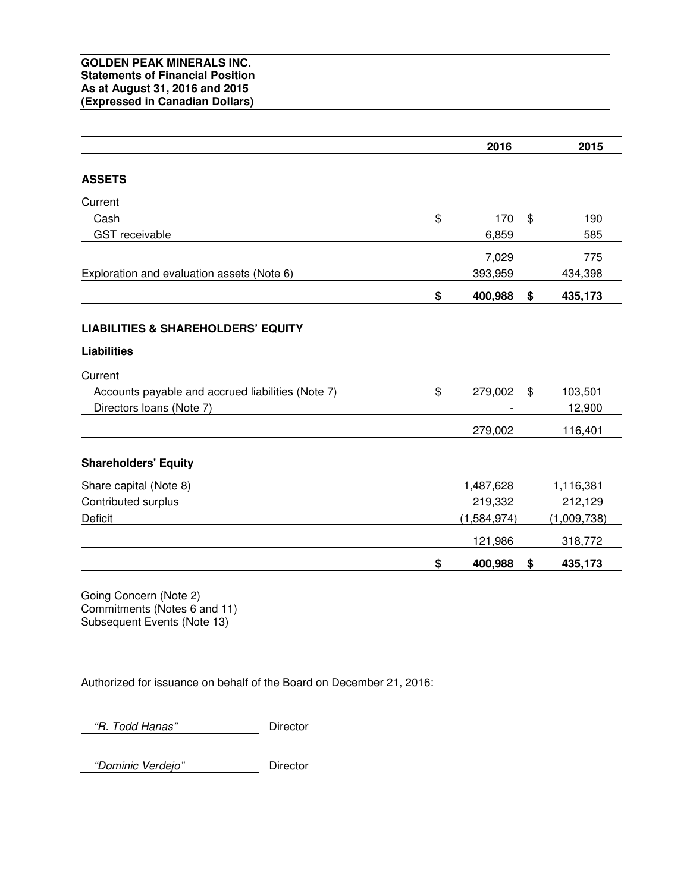|                                                   | 2016          | 2015          |
|---------------------------------------------------|---------------|---------------|
| <b>ASSETS</b>                                     |               |               |
| Current                                           |               |               |
| Cash                                              | \$<br>170     | \$<br>190     |
| <b>GST</b> receivable                             | 6,859         | 585           |
|                                                   | 7,029         | 775           |
| Exploration and evaluation assets (Note 6)        | 393,959       | 434,398       |
|                                                   | \$<br>400,988 | \$<br>435,173 |
| <b>LIABILITIES &amp; SHAREHOLDERS' EQUITY</b>     |               |               |
| <b>Liabilities</b>                                |               |               |
| Current                                           |               |               |
| Accounts payable and accrued liabilities (Note 7) | \$<br>279,002 | \$<br>103,501 |
| Directors loans (Note 7)                          |               | 12,900        |
|                                                   | 279,002       | 116,401       |
| <b>Shareholders' Equity</b>                       |               |               |
| Share capital (Note 8)                            | 1,487,628     | 1,116,381     |
| Contributed surplus                               | 219,332       | 212,129       |
| Deficit                                           | (1,584,974)   | (1,009,738)   |
|                                                   | 121,986       | 318,772       |
|                                                   | \$<br>400,988 | \$<br>435,173 |

Going Concern (Note 2) Commitments (Notes 6 and 11) Subsequent Events (Note 13)

Authorized for issuance on behalf of the Board on December 21, 2016:

"R. Todd Hanas" Director

"Dominic Verdejo" Director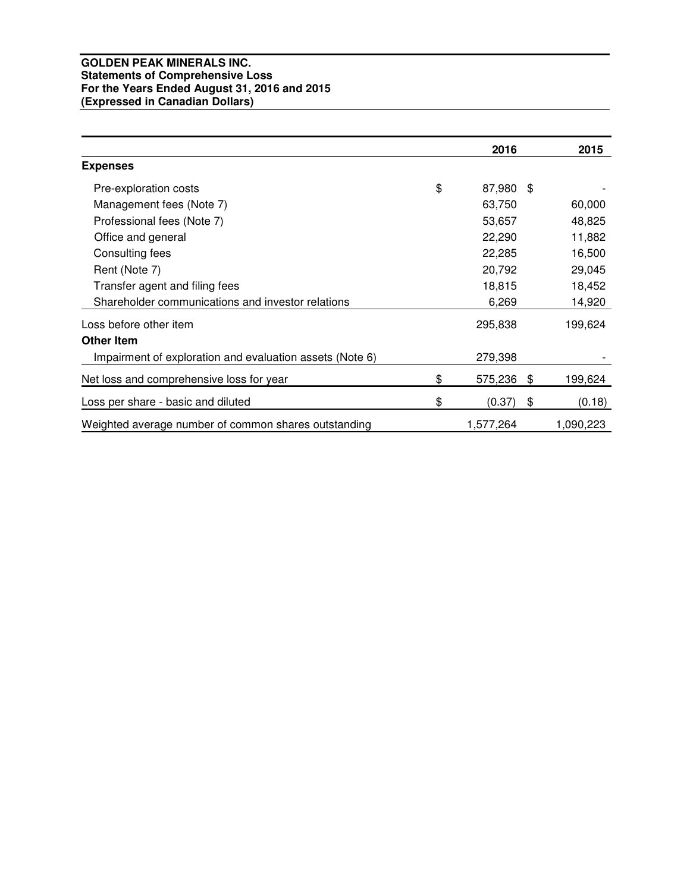# **GOLDEN PEAK MINERALS INC. Statements of Comprehensive Loss For the Years Ended August 31, 2016 and 2015 (Expressed in Canadian Dollars)**

|                                                          | 2016            | 2015          |
|----------------------------------------------------------|-----------------|---------------|
| <b>Expenses</b>                                          |                 |               |
| Pre-exploration costs                                    | \$<br>87,980 \$ |               |
| Management fees (Note 7)                                 | 63,750          | 60,000        |
| Professional fees (Note 7)                               | 53,657          | 48,825        |
| Office and general                                       | 22,290          | 11,882        |
| Consulting fees                                          | 22,285          | 16,500        |
| Rent (Note 7)                                            | 20,792          | 29,045        |
| Transfer agent and filing fees                           | 18,815          | 18,452        |
| Shareholder communications and investor relations        | 6,269           | 14,920        |
| Loss before other item                                   | 295,838         | 199,624       |
| <b>Other Item</b>                                        |                 |               |
| Impairment of exploration and evaluation assets (Note 6) | 279,398         |               |
| Net loss and comprehensive loss for year                 | \$<br>575,236   | \$<br>199,624 |
| Loss per share - basic and diluted                       | \$<br>(0.37)    | \$<br>(0.18)  |
| Weighted average number of common shares outstanding     | 1,577,264       | 1,090,223     |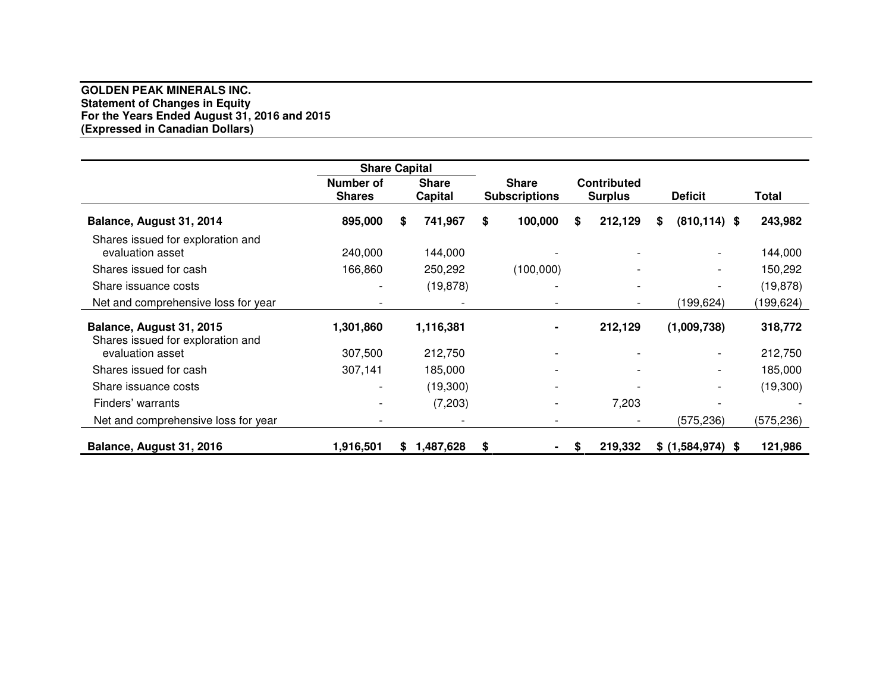# **GOLDEN PEAK MINERALS INC. Statement of Changes in Equity For the Years Ended August 31, 2016 and 2015 (Expressed in Canadian Dollars)**

|                                                               | <b>Share Capital</b>              |    |                                |    |                                      |    |                                      |                              |            |
|---------------------------------------------------------------|-----------------------------------|----|--------------------------------|----|--------------------------------------|----|--------------------------------------|------------------------------|------------|
|                                                               | <b>Number of</b><br><b>Shares</b> |    | <b>Share</b><br><b>Capital</b> |    | <b>Share</b><br><b>Subscriptions</b> |    | <b>Contributed</b><br><b>Surplus</b> | <b>Deficit</b>               | Total      |
| Balance, August 31, 2014                                      | 895,000                           | S  | 741,967                        | \$ | 100,000                              | S. | 212,129                              | \$<br>$(810, 114)$ \$        | 243,982    |
| Shares issued for exploration and<br>evaluation asset         | 240,000                           |    | 144,000                        |    |                                      |    |                                      | $\overline{\phantom{0}}$     | 144,000    |
| Shares issued for cash                                        | 166,860                           |    | 250,292                        |    | (100,000)                            |    |                                      | $\qquad \qquad \blacksquare$ | 150,292    |
| Share issuance costs                                          |                                   |    | (19, 878)                      |    |                                      |    |                                      |                              | (19, 878)  |
| Net and comprehensive loss for year                           |                                   |    |                                |    |                                      |    |                                      | (199,624)                    | (199, 624) |
| Balance, August 31, 2015<br>Shares issued for exploration and | 1,301,860                         |    | 1,116,381                      |    |                                      |    | 212,129                              | (1,009,738)                  | 318,772    |
| evaluation asset                                              | 307,500                           |    | 212,750                        |    |                                      |    |                                      | $\qquad \qquad \blacksquare$ | 212,750    |
| Shares issued for cash                                        | 307,141                           |    | 185,000                        |    |                                      |    |                                      | $\overline{\phantom{0}}$     | 185,000    |
| Share issuance costs                                          |                                   |    | (19,300)                       |    |                                      |    |                                      | $\overline{\phantom{a}}$     | (19, 300)  |
| Finders' warrants                                             |                                   |    | (7,203)                        |    |                                      |    | 7,203                                |                              |            |
| Net and comprehensive loss for year                           |                                   |    |                                |    |                                      |    |                                      | (575, 236)                   | (575, 236) |
| Balance, August 31, 2016                                      | 1,916,501                         | S. | 1,487,628                      | S  |                                      | S  | 219,332                              | \$ (1,584,974) \$            | 121,986    |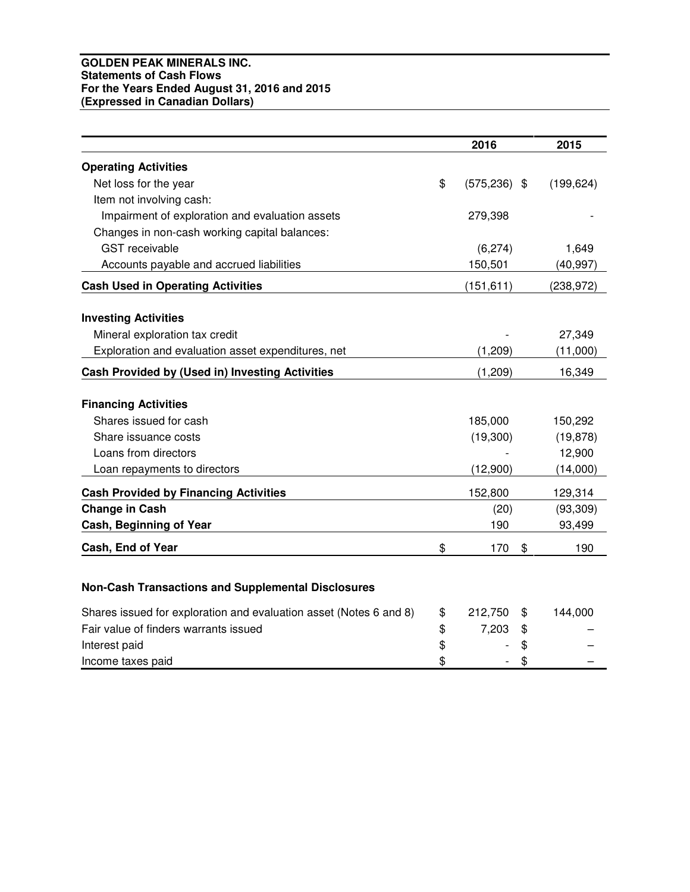# **GOLDEN PEAK MINERALS INC. Statements of Cash Flows For the Years Ended August 31, 2016 and 2015 (Expressed in Canadian Dollars)**

|                                                                    | 2016                  | 2015          |
|--------------------------------------------------------------------|-----------------------|---------------|
| <b>Operating Activities</b>                                        |                       |               |
| Net loss for the year                                              | \$<br>$(575, 236)$ \$ | (199, 624)    |
| Item not involving cash:                                           |                       |               |
| Impairment of exploration and evaluation assets                    | 279,398               |               |
| Changes in non-cash working capital balances:                      |                       |               |
| <b>GST</b> receivable                                              | (6, 274)              | 1,649         |
| Accounts payable and accrued liabilities                           | 150,501               | (40, 997)     |
| <b>Cash Used in Operating Activities</b>                           | (151, 611)            | (238, 972)    |
| <b>Investing Activities</b>                                        |                       |               |
| Mineral exploration tax credit                                     |                       | 27,349        |
| Exploration and evaluation asset expenditures, net                 | (1,209)               | (11,000)      |
| Cash Provided by (Used in) Investing Activities                    | (1, 209)              | 16,349        |
| <b>Financing Activities</b>                                        |                       |               |
| Shares issued for cash                                             | 185,000               | 150,292       |
| Share issuance costs                                               | (19,300)              | (19, 878)     |
| Loans from directors                                               |                       | 12,900        |
| Loan repayments to directors                                       | (12,900)              | (14,000)      |
| <b>Cash Provided by Financing Activities</b>                       | 152,800               | 129,314       |
| <b>Change in Cash</b>                                              | (20)                  | (93, 309)     |
| Cash, Beginning of Year                                            | 190                   | 93,499        |
| Cash, End of Year                                                  | \$<br>170             | \$<br>190     |
|                                                                    |                       |               |
| <b>Non-Cash Transactions and Supplemental Disclosures</b>          |                       |               |
| Shares issued for exploration and evaluation asset (Notes 6 and 8) | \$<br>212,750         | \$<br>144,000 |
| Fair value of finders warrants issued                              | \$<br>7,203           | \$            |
| Interest paid                                                      | \$                    | \$            |
| Income taxes paid                                                  | \$                    | \$            |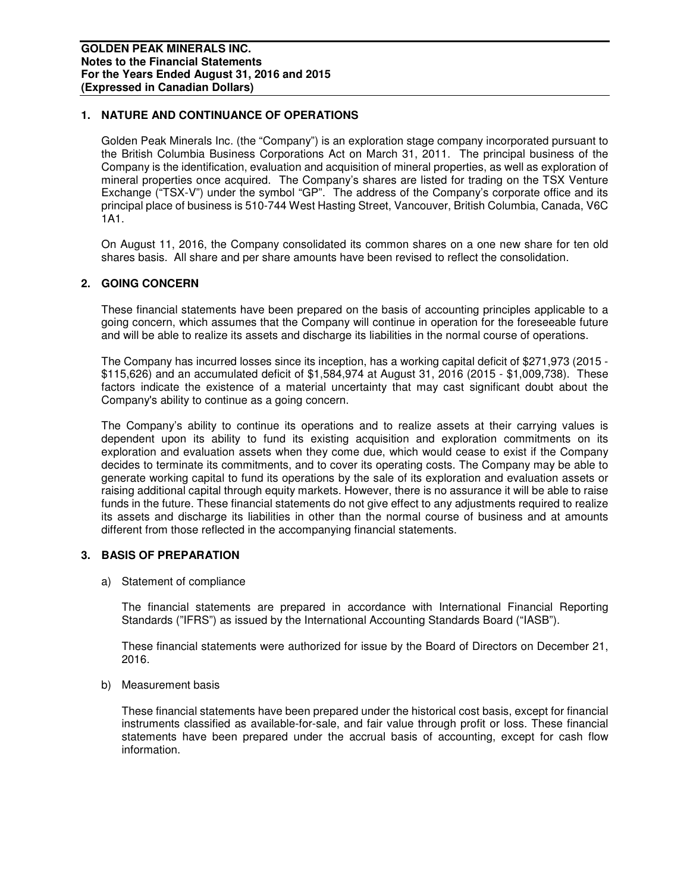# **1. NATURE AND CONTINUANCE OF OPERATIONS**

Golden Peak Minerals Inc. (the "Company") is an exploration stage company incorporated pursuant to the British Columbia Business Corporations Act on March 31, 2011. The principal business of the Company is the identification, evaluation and acquisition of mineral properties, as well as exploration of mineral properties once acquired. The Company's shares are listed for trading on the TSX Venture Exchange ("TSX-V") under the symbol "GP". The address of the Company's corporate office and its principal place of business is 510-744 West Hasting Street, Vancouver, British Columbia, Canada, V6C 1A1.

On August 11, 2016, the Company consolidated its common shares on a one new share for ten old shares basis. All share and per share amounts have been revised to reflect the consolidation.

## **2. GOING CONCERN**

These financial statements have been prepared on the basis of accounting principles applicable to a going concern, which assumes that the Company will continue in operation for the foreseeable future and will be able to realize its assets and discharge its liabilities in the normal course of operations.

The Company has incurred losses since its inception, has a working capital deficit of \$271,973 (2015 - \$115,626) and an accumulated deficit of \$1,584,974 at August 31, 2016 (2015 - \$1,009,738). These factors indicate the existence of a material uncertainty that may cast significant doubt about the Company's ability to continue as a going concern.

The Company's ability to continue its operations and to realize assets at their carrying values is dependent upon its ability to fund its existing acquisition and exploration commitments on its exploration and evaluation assets when they come due, which would cease to exist if the Company decides to terminate its commitments, and to cover its operating costs. The Company may be able to generate working capital to fund its operations by the sale of its exploration and evaluation assets or raising additional capital through equity markets. However, there is no assurance it will be able to raise funds in the future. These financial statements do not give effect to any adjustments required to realize its assets and discharge its liabilities in other than the normal course of business and at amounts different from those reflected in the accompanying financial statements.

## **3. BASIS OF PREPARATION**

a) Statement of compliance

The financial statements are prepared in accordance with International Financial Reporting Standards ("IFRS") as issued by the International Accounting Standards Board ("IASB").

These financial statements were authorized for issue by the Board of Directors on December 21, 2016.

## b) Measurement basis

These financial statements have been prepared under the historical cost basis, except for financial instruments classified as available-for-sale, and fair value through profit or loss. These financial statements have been prepared under the accrual basis of accounting, except for cash flow information.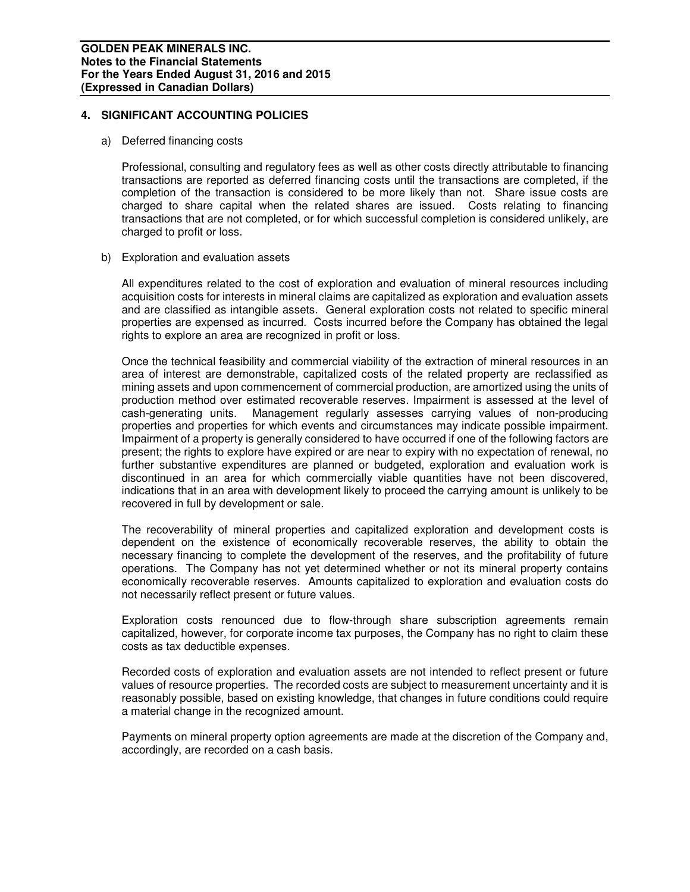# **4. SIGNIFICANT ACCOUNTING POLICIES**

#### a) Deferred financing costs

Professional, consulting and regulatory fees as well as other costs directly attributable to financing transactions are reported as deferred financing costs until the transactions are completed, if the completion of the transaction is considered to be more likely than not. Share issue costs are charged to share capital when the related shares are issued. Costs relating to financing transactions that are not completed, or for which successful completion is considered unlikely, are charged to profit or loss.

## b) Exploration and evaluation assets

All expenditures related to the cost of exploration and evaluation of mineral resources including acquisition costs for interests in mineral claims are capitalized as exploration and evaluation assets and are classified as intangible assets. General exploration costs not related to specific mineral properties are expensed as incurred. Costs incurred before the Company has obtained the legal rights to explore an area are recognized in profit or loss.

Once the technical feasibility and commercial viability of the extraction of mineral resources in an area of interest are demonstrable, capitalized costs of the related property are reclassified as mining assets and upon commencement of commercial production, are amortized using the units of production method over estimated recoverable reserves. Impairment is assessed at the level of cash-generating units. Management regularly assesses carrying values of non-producing properties and properties for which events and circumstances may indicate possible impairment. Impairment of a property is generally considered to have occurred if one of the following factors are present; the rights to explore have expired or are near to expiry with no expectation of renewal, no further substantive expenditures are planned or budgeted, exploration and evaluation work is discontinued in an area for which commercially viable quantities have not been discovered, indications that in an area with development likely to proceed the carrying amount is unlikely to be recovered in full by development or sale.

The recoverability of mineral properties and capitalized exploration and development costs is dependent on the existence of economically recoverable reserves, the ability to obtain the necessary financing to complete the development of the reserves, and the profitability of future operations. The Company has not yet determined whether or not its mineral property contains economically recoverable reserves. Amounts capitalized to exploration and evaluation costs do not necessarily reflect present or future values.

Exploration costs renounced due to flow-through share subscription agreements remain capitalized, however, for corporate income tax purposes, the Company has no right to claim these costs as tax deductible expenses.

Recorded costs of exploration and evaluation assets are not intended to reflect present or future values of resource properties. The recorded costs are subject to measurement uncertainty and it is reasonably possible, based on existing knowledge, that changes in future conditions could require a material change in the recognized amount.

Payments on mineral property option agreements are made at the discretion of the Company and, accordingly, are recorded on a cash basis.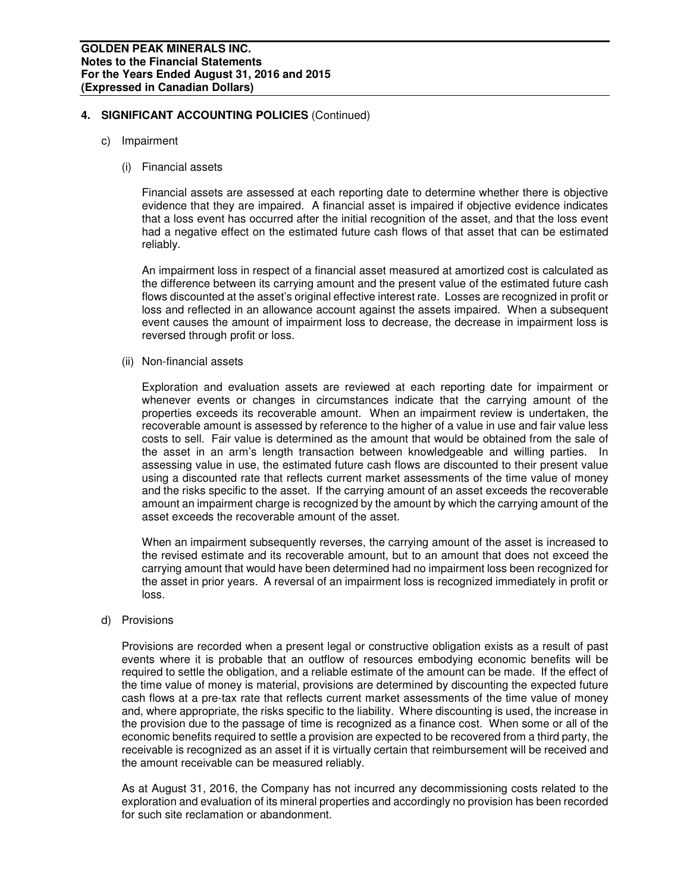- c) Impairment
	- (i) Financial assets

Financial assets are assessed at each reporting date to determine whether there is objective evidence that they are impaired. A financial asset is impaired if objective evidence indicates that a loss event has occurred after the initial recognition of the asset, and that the loss event had a negative effect on the estimated future cash flows of that asset that can be estimated reliably.

An impairment loss in respect of a financial asset measured at amortized cost is calculated as the difference between its carrying amount and the present value of the estimated future cash flows discounted at the asset's original effective interest rate. Losses are recognized in profit or loss and reflected in an allowance account against the assets impaired. When a subsequent event causes the amount of impairment loss to decrease, the decrease in impairment loss is reversed through profit or loss.

(ii) Non-financial assets

Exploration and evaluation assets are reviewed at each reporting date for impairment or whenever events or changes in circumstances indicate that the carrying amount of the properties exceeds its recoverable amount. When an impairment review is undertaken, the recoverable amount is assessed by reference to the higher of a value in use and fair value less costs to sell. Fair value is determined as the amount that would be obtained from the sale of the asset in an arm's length transaction between knowledgeable and willing parties. In assessing value in use, the estimated future cash flows are discounted to their present value using a discounted rate that reflects current market assessments of the time value of money and the risks specific to the asset. If the carrying amount of an asset exceeds the recoverable amount an impairment charge is recognized by the amount by which the carrying amount of the asset exceeds the recoverable amount of the asset.

When an impairment subsequently reverses, the carrying amount of the asset is increased to the revised estimate and its recoverable amount, but to an amount that does not exceed the carrying amount that would have been determined had no impairment loss been recognized for the asset in prior years. A reversal of an impairment loss is recognized immediately in profit or loss.

d) Provisions

Provisions are recorded when a present legal or constructive obligation exists as a result of past events where it is probable that an outflow of resources embodying economic benefits will be required to settle the obligation, and a reliable estimate of the amount can be made. If the effect of the time value of money is material, provisions are determined by discounting the expected future cash flows at a pre-tax rate that reflects current market assessments of the time value of money and, where appropriate, the risks specific to the liability. Where discounting is used, the increase in the provision due to the passage of time is recognized as a finance cost. When some or all of the economic benefits required to settle a provision are expected to be recovered from a third party, the receivable is recognized as an asset if it is virtually certain that reimbursement will be received and the amount receivable can be measured reliably.

As at August 31, 2016, the Company has not incurred any decommissioning costs related to the exploration and evaluation of its mineral properties and accordingly no provision has been recorded for such site reclamation or abandonment.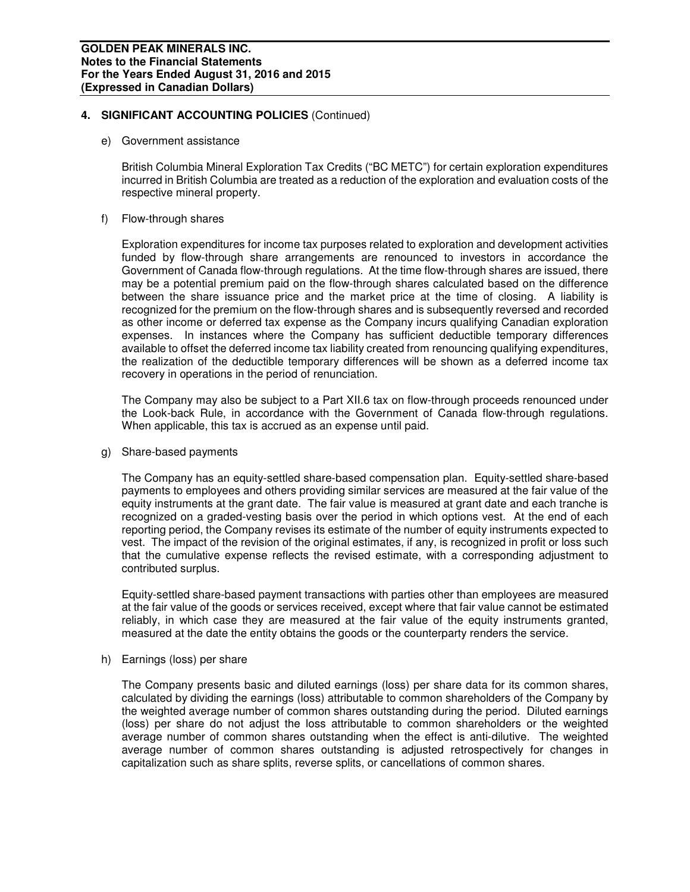e) Government assistance

British Columbia Mineral Exploration Tax Credits ("BC METC") for certain exploration expenditures incurred in British Columbia are treated as a reduction of the exploration and evaluation costs of the respective mineral property.

f) Flow-through shares

Exploration expenditures for income tax purposes related to exploration and development activities funded by flow-through share arrangements are renounced to investors in accordance the Government of Canada flow-through regulations. At the time flow-through shares are issued, there may be a potential premium paid on the flow-through shares calculated based on the difference between the share issuance price and the market price at the time of closing. A liability is recognized for the premium on the flow-through shares and is subsequently reversed and recorded as other income or deferred tax expense as the Company incurs qualifying Canadian exploration expenses. In instances where the Company has sufficient deductible temporary differences available to offset the deferred income tax liability created from renouncing qualifying expenditures, the realization of the deductible temporary differences will be shown as a deferred income tax recovery in operations in the period of renunciation.

The Company may also be subject to a Part XII.6 tax on flow-through proceeds renounced under the Look-back Rule, in accordance with the Government of Canada flow-through regulations. When applicable, this tax is accrued as an expense until paid.

g) Share-based payments

The Company has an equity-settled share-based compensation plan. Equity-settled share-based payments to employees and others providing similar services are measured at the fair value of the equity instruments at the grant date. The fair value is measured at grant date and each tranche is recognized on a graded-vesting basis over the period in which options vest. At the end of each reporting period, the Company revises its estimate of the number of equity instruments expected to vest. The impact of the revision of the original estimates, if any, is recognized in profit or loss such that the cumulative expense reflects the revised estimate, with a corresponding adjustment to contributed surplus.

Equity-settled share-based payment transactions with parties other than employees are measured at the fair value of the goods or services received, except where that fair value cannot be estimated reliably, in which case they are measured at the fair value of the equity instruments granted, measured at the date the entity obtains the goods or the counterparty renders the service.

h) Earnings (loss) per share

The Company presents basic and diluted earnings (loss) per share data for its common shares, calculated by dividing the earnings (loss) attributable to common shareholders of the Company by the weighted average number of common shares outstanding during the period. Diluted earnings (loss) per share do not adjust the loss attributable to common shareholders or the weighted average number of common shares outstanding when the effect is anti-dilutive. The weighted average number of common shares outstanding is adjusted retrospectively for changes in capitalization such as share splits, reverse splits, or cancellations of common shares.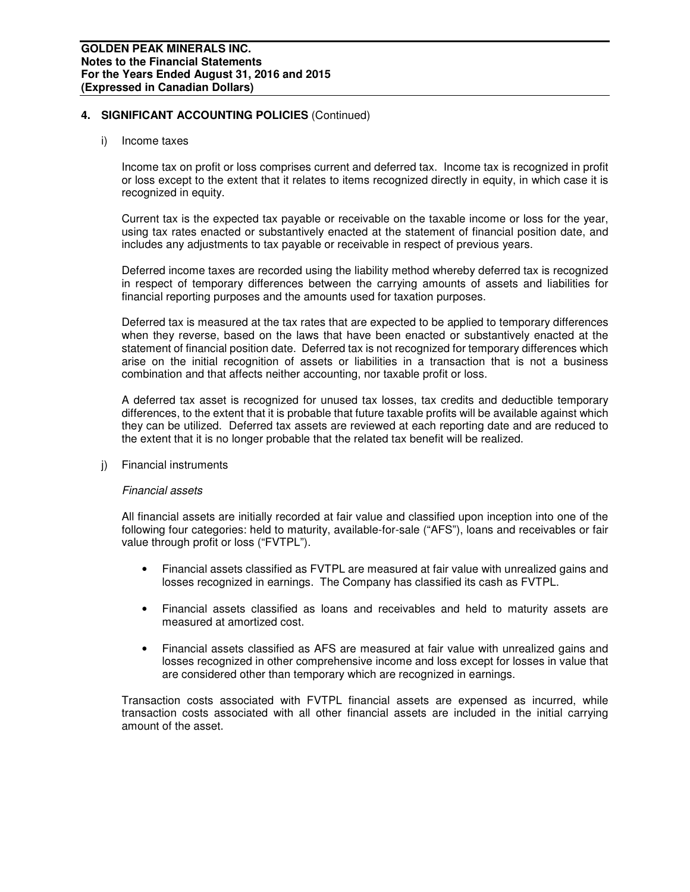#### i) Income taxes

Income tax on profit or loss comprises current and deferred tax. Income tax is recognized in profit or loss except to the extent that it relates to items recognized directly in equity, in which case it is recognized in equity.

Current tax is the expected tax payable or receivable on the taxable income or loss for the year, using tax rates enacted or substantively enacted at the statement of financial position date, and includes any adjustments to tax payable or receivable in respect of previous years.

Deferred income taxes are recorded using the liability method whereby deferred tax is recognized in respect of temporary differences between the carrying amounts of assets and liabilities for financial reporting purposes and the amounts used for taxation purposes.

Deferred tax is measured at the tax rates that are expected to be applied to temporary differences when they reverse, based on the laws that have been enacted or substantively enacted at the statement of financial position date. Deferred tax is not recognized for temporary differences which arise on the initial recognition of assets or liabilities in a transaction that is not a business combination and that affects neither accounting, nor taxable profit or loss.

A deferred tax asset is recognized for unused tax losses, tax credits and deductible temporary differences, to the extent that it is probable that future taxable profits will be available against which they can be utilized. Deferred tax assets are reviewed at each reporting date and are reduced to the extent that it is no longer probable that the related tax benefit will be realized.

j) Financial instruments

## Financial assets

 All financial assets are initially recorded at fair value and classified upon inception into one of the following four categories: held to maturity, available-for-sale ("AFS"), loans and receivables or fair value through profit or loss ("FVTPL").

- Financial assets classified as FVTPL are measured at fair value with unrealized gains and losses recognized in earnings. The Company has classified its cash as FVTPL.
- Financial assets classified as loans and receivables and held to maturity assets are measured at amortized cost.
- Financial assets classified as AFS are measured at fair value with unrealized gains and losses recognized in other comprehensive income and loss except for losses in value that are considered other than temporary which are recognized in earnings.

 Transaction costs associated with FVTPL financial assets are expensed as incurred, while transaction costs associated with all other financial assets are included in the initial carrying amount of the asset.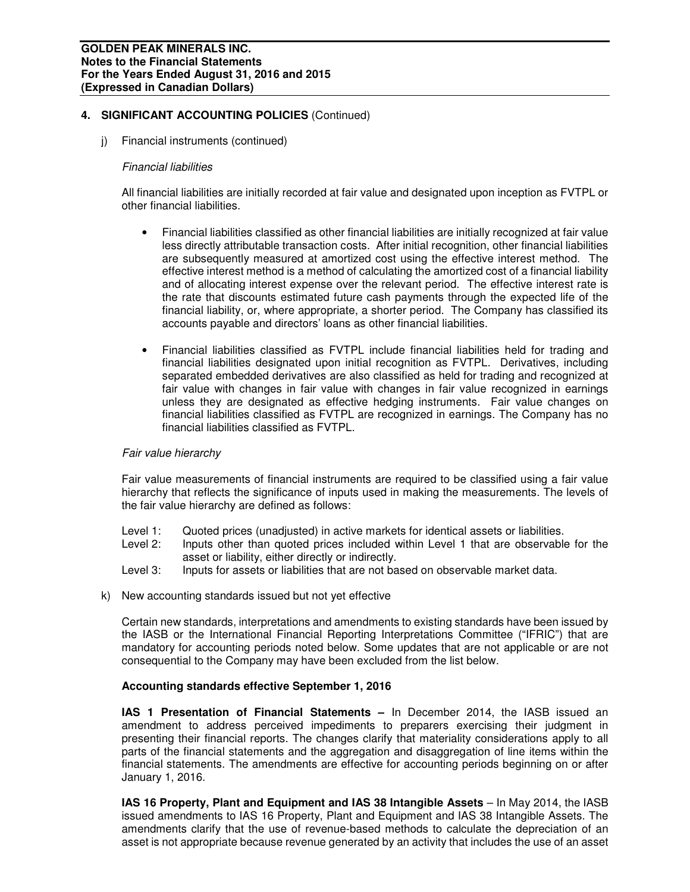j) Financial instruments (continued)

#### Financial liabilities

All financial liabilities are initially recorded at fair value and designated upon inception as FVTPL or other financial liabilities.

- Financial liabilities classified as other financial liabilities are initially recognized at fair value less directly attributable transaction costs. After initial recognition, other financial liabilities are subsequently measured at amortized cost using the effective interest method. The effective interest method is a method of calculating the amortized cost of a financial liability and of allocating interest expense over the relevant period. The effective interest rate is the rate that discounts estimated future cash payments through the expected life of the financial liability, or, where appropriate, a shorter period. The Company has classified its accounts payable and directors' loans as other financial liabilities.
- Financial liabilities classified as FVTPL include financial liabilities held for trading and financial liabilities designated upon initial recognition as FVTPL. Derivatives, including separated embedded derivatives are also classified as held for trading and recognized at fair value with changes in fair value with changes in fair value recognized in earnings unless they are designated as effective hedging instruments. Fair value changes on financial liabilities classified as FVTPL are recognized in earnings. The Company has no financial liabilities classified as FVTPL.

## Fair value hierarchy

Fair value measurements of financial instruments are required to be classified using a fair value hierarchy that reflects the significance of inputs used in making the measurements. The levels of the fair value hierarchy are defined as follows:

- Level 1: Quoted prices (unadjusted) in active markets for identical assets or liabilities.
- Level 2: Inputs other than quoted prices included within Level 1 that are observable for the asset or liability, either directly or indirectly.
- Level 3: Inputs for assets or liabilities that are not based on observable market data.
- k) New accounting standards issued but not yet effective

Certain new standards, interpretations and amendments to existing standards have been issued by the IASB or the International Financial Reporting Interpretations Committee ("IFRIC") that are mandatory for accounting periods noted below. Some updates that are not applicable or are not consequential to the Company may have been excluded from the list below.

## **Accounting standards effective September 1, 2016**

**IAS 1 Presentation of Financial Statements –** In December 2014, the IASB issued an amendment to address perceived impediments to preparers exercising their judgment in presenting their financial reports. The changes clarify that materiality considerations apply to all parts of the financial statements and the aggregation and disaggregation of line items within the financial statements. The amendments are effective for accounting periods beginning on or after January 1, 2016.

**IAS 16 Property, Plant and Equipment and IAS 38 Intangible Assets** – In May 2014, the IASB issued amendments to IAS 16 Property, Plant and Equipment and IAS 38 Intangible Assets. The amendments clarify that the use of revenue-based methods to calculate the depreciation of an asset is not appropriate because revenue generated by an activity that includes the use of an asset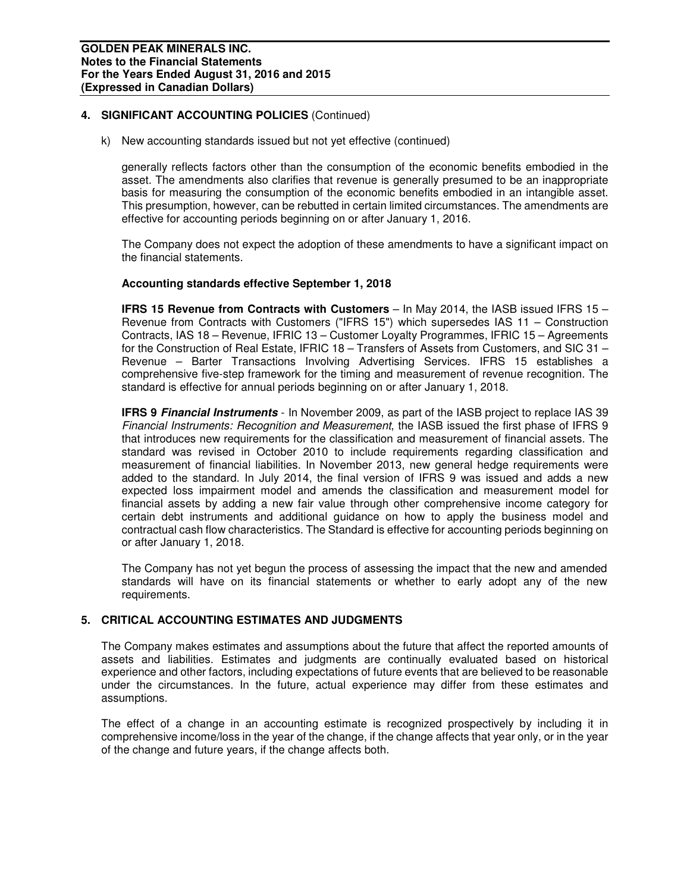k) New accounting standards issued but not yet effective (continued)

generally reflects factors other than the consumption of the economic benefits embodied in the asset. The amendments also clarifies that revenue is generally presumed to be an inappropriate basis for measuring the consumption of the economic benefits embodied in an intangible asset. This presumption, however, can be rebutted in certain limited circumstances. The amendments are effective for accounting periods beginning on or after January 1, 2016.

The Company does not expect the adoption of these amendments to have a significant impact on the financial statements.

## **Accounting standards effective September 1, 2018**

**IFRS 15 Revenue from Contracts with Customers** – In May 2014, the IASB issued IFRS 15 – Revenue from Contracts with Customers ("IFRS 15") which supersedes IAS 11 – Construction Contracts, IAS 18 – Revenue, IFRIC 13 – Customer Loyalty Programmes, IFRIC 15 – Agreements for the Construction of Real Estate, IFRIC 18 – Transfers of Assets from Customers, and SIC 31 – Revenue – Barter Transactions Involving Advertising Services. IFRS 15 establishes a comprehensive five-step framework for the timing and measurement of revenue recognition. The standard is effective for annual periods beginning on or after January 1, 2018.

**IFRS 9 Financial Instruments** - In November 2009, as part of the IASB project to replace IAS 39 Financial Instruments: Recognition and Measurement, the IASB issued the first phase of IFRS 9 that introduces new requirements for the classification and measurement of financial assets. The standard was revised in October 2010 to include requirements regarding classification and measurement of financial liabilities. In November 2013, new general hedge requirements were added to the standard. In July 2014, the final version of IFRS 9 was issued and adds a new expected loss impairment model and amends the classification and measurement model for financial assets by adding a new fair value through other comprehensive income category for certain debt instruments and additional guidance on how to apply the business model and contractual cash flow characteristics. The Standard is effective for accounting periods beginning on or after January 1, 2018.

The Company has not yet begun the process of assessing the impact that the new and amended standards will have on its financial statements or whether to early adopt any of the new requirements.

## **5. CRITICAL ACCOUNTING ESTIMATES AND JUDGMENTS**

The Company makes estimates and assumptions about the future that affect the reported amounts of assets and liabilities. Estimates and judgments are continually evaluated based on historical experience and other factors, including expectations of future events that are believed to be reasonable under the circumstances. In the future, actual experience may differ from these estimates and assumptions.

The effect of a change in an accounting estimate is recognized prospectively by including it in comprehensive income/loss in the year of the change, if the change affects that year only, or in the year of the change and future years, if the change affects both.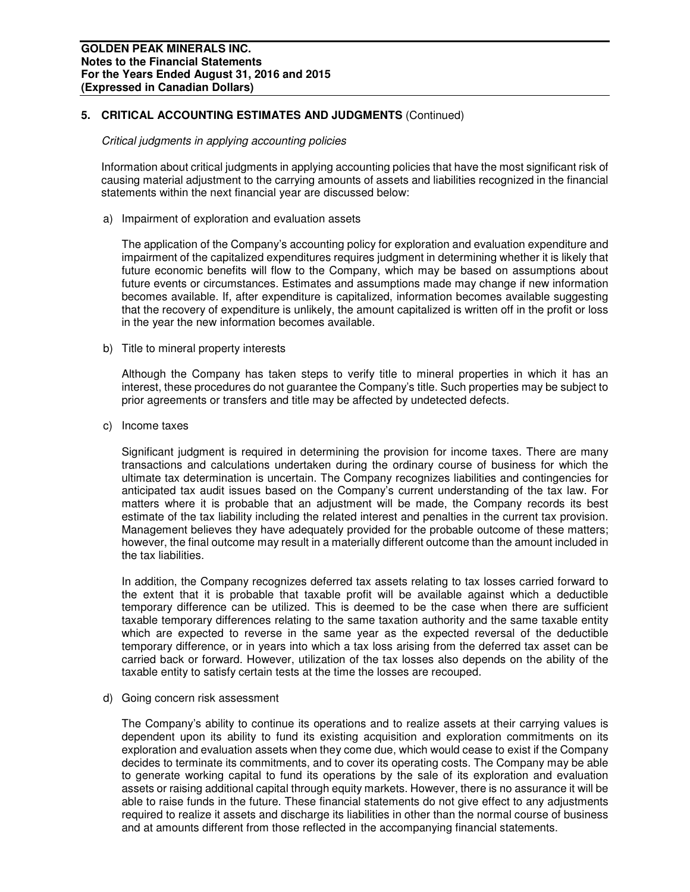# **5. CRITICAL ACCOUNTING ESTIMATES AND JUDGMENTS** (Continued)

#### Critical judgments in applying accounting policies

Information about critical judgments in applying accounting policies that have the most significant risk of causing material adjustment to the carrying amounts of assets and liabilities recognized in the financial statements within the next financial year are discussed below:

a) Impairment of exploration and evaluation assets

The application of the Company's accounting policy for exploration and evaluation expenditure and impairment of the capitalized expenditures requires judgment in determining whether it is likely that future economic benefits will flow to the Company, which may be based on assumptions about future events or circumstances. Estimates and assumptions made may change if new information becomes available. If, after expenditure is capitalized, information becomes available suggesting that the recovery of expenditure is unlikely, the amount capitalized is written off in the profit or loss in the year the new information becomes available.

b) Title to mineral property interests

Although the Company has taken steps to verify title to mineral properties in which it has an interest, these procedures do not guarantee the Company's title. Such properties may be subject to prior agreements or transfers and title may be affected by undetected defects.

c) Income taxes

Significant judgment is required in determining the provision for income taxes. There are many transactions and calculations undertaken during the ordinary course of business for which the ultimate tax determination is uncertain. The Company recognizes liabilities and contingencies for anticipated tax audit issues based on the Company's current understanding of the tax law. For matters where it is probable that an adjustment will be made, the Company records its best estimate of the tax liability including the related interest and penalties in the current tax provision. Management believes they have adequately provided for the probable outcome of these matters; however, the final outcome may result in a materially different outcome than the amount included in the tax liabilities.

In addition, the Company recognizes deferred tax assets relating to tax losses carried forward to the extent that it is probable that taxable profit will be available against which a deductible temporary difference can be utilized. This is deemed to be the case when there are sufficient taxable temporary differences relating to the same taxation authority and the same taxable entity which are expected to reverse in the same year as the expected reversal of the deductible temporary difference, or in years into which a tax loss arising from the deferred tax asset can be carried back or forward. However, utilization of the tax losses also depends on the ability of the taxable entity to satisfy certain tests at the time the losses are recouped.

d) Going concern risk assessment

The Company's ability to continue its operations and to realize assets at their carrying values is dependent upon its ability to fund its existing acquisition and exploration commitments on its exploration and evaluation assets when they come due, which would cease to exist if the Company decides to terminate its commitments, and to cover its operating costs. The Company may be able to generate working capital to fund its operations by the sale of its exploration and evaluation assets or raising additional capital through equity markets. However, there is no assurance it will be able to raise funds in the future. These financial statements do not give effect to any adjustments required to realize it assets and discharge its liabilities in other than the normal course of business and at amounts different from those reflected in the accompanying financial statements.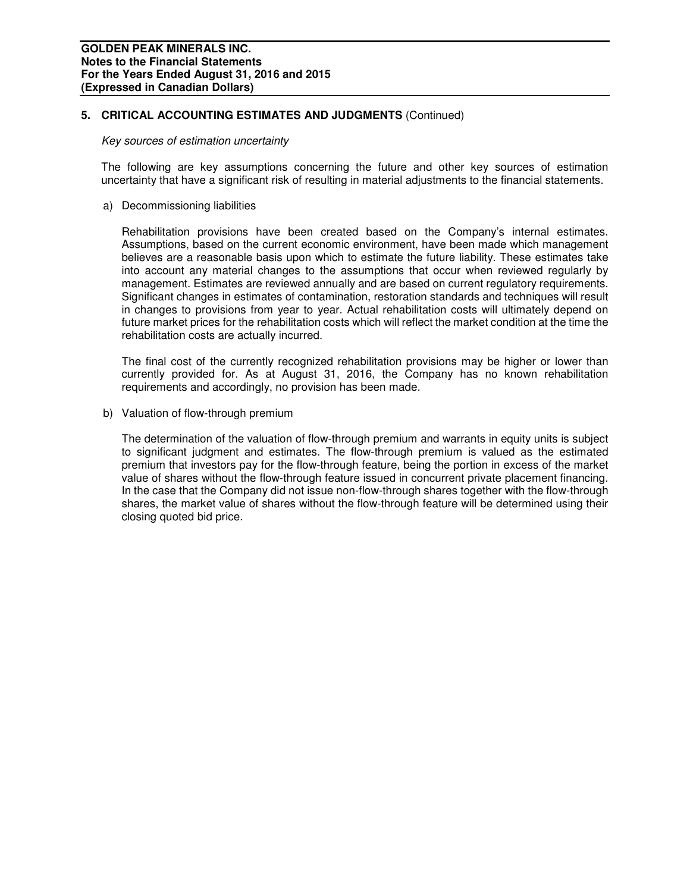# **5. CRITICAL ACCOUNTING ESTIMATES AND JUDGMENTS** (Continued)

#### Key sources of estimation uncertainty

The following are key assumptions concerning the future and other key sources of estimation uncertainty that have a significant risk of resulting in material adjustments to the financial statements.

a) Decommissioning liabilities

Rehabilitation provisions have been created based on the Company's internal estimates. Assumptions, based on the current economic environment, have been made which management believes are a reasonable basis upon which to estimate the future liability. These estimates take into account any material changes to the assumptions that occur when reviewed regularly by management. Estimates are reviewed annually and are based on current regulatory requirements. Significant changes in estimates of contamination, restoration standards and techniques will result in changes to provisions from year to year. Actual rehabilitation costs will ultimately depend on future market prices for the rehabilitation costs which will reflect the market condition at the time the rehabilitation costs are actually incurred.

The final cost of the currently recognized rehabilitation provisions may be higher or lower than currently provided for. As at August 31, 2016, the Company has no known rehabilitation requirements and accordingly, no provision has been made.

b) Valuation of flow-through premium

The determination of the valuation of flow-through premium and warrants in equity units is subject to significant judgment and estimates. The flow-through premium is valued as the estimated premium that investors pay for the flow-through feature, being the portion in excess of the market value of shares without the flow-through feature issued in concurrent private placement financing. In the case that the Company did not issue non-flow-through shares together with the flow-through shares, the market value of shares without the flow-through feature will be determined using their closing quoted bid price.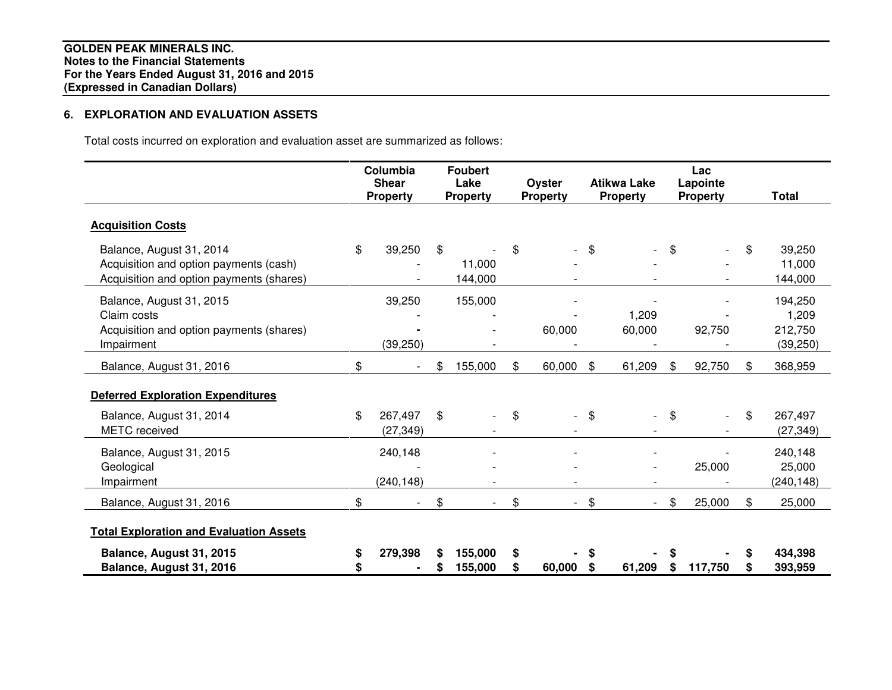# **6. EXPLORATION AND EVALUATION ASSETS**

Total costs incurred on exploration and evaluation asset are summarized as follows:

|                                                                                                                |          | Columbia<br><b>Shear</b><br><b>Property</b> | <b>Foubert</b><br>Lake<br><b>Property</b> |         | Oyster<br><b>Property</b> |        | <b>Atikwa Lake</b><br><b>Property</b> |         | Lac<br>Lapointe<br><b>Property</b> |    | <b>Total</b>                             |
|----------------------------------------------------------------------------------------------------------------|----------|---------------------------------------------|-------------------------------------------|---------|---------------------------|--------|---------------------------------------|---------|------------------------------------|----|------------------------------------------|
| <b>Acquisition Costs</b>                                                                                       |          |                                             |                                           |         |                           |        |                                       |         |                                    |    |                                          |
| Balance, August 31, 2014<br>Acquisition and option payments (cash)<br>Acquisition and option payments (shares) | \$       | 39,250                                      | \$<br>11,000<br>144,000                   | \$      |                           | \$     | $\overline{\phantom{0}}$              | \$      |                                    | \$ | 39,250<br>11,000<br>144,000              |
| Balance, August 31, 2015<br>Claim costs<br>Acquisition and option payments (shares)<br>Impairment              |          | 39,250<br>(39, 250)                         | 155,000                                   |         | 60,000                    |        | 1,209<br>60,000                       |         | 92,750                             |    | 194,250<br>1,209<br>212,750<br>(39, 250) |
| Balance, August 31, 2016                                                                                       | \$       |                                             | \$<br>155,000                             | \$      | 60,000                    | \$     | 61,209                                | \$      | 92,750                             | \$ | 368,959                                  |
| <b>Deferred Exploration Expenditures</b>                                                                       |          |                                             |                                           |         |                           |        |                                       |         |                                    |    |                                          |
| Balance, August 31, 2014<br><b>METC</b> received                                                               | \$       | 267,497<br>(27, 349)                        | \$                                        | \$      | $\overline{\phantom{0}}$  | \$     |                                       | \$      |                                    | \$ | 267,497<br>(27, 349)                     |
| Balance, August 31, 2015<br>Geological<br>Impairment                                                           |          | 240,148<br>(240, 148)                       |                                           |         |                           |        |                                       |         | 25,000                             |    | 240,148<br>25,000<br>(240, 148)          |
| Balance, August 31, 2016                                                                                       | \$       |                                             | \$                                        | $\$\$   | $\sim$                    | \$     | $\overline{\phantom{0}}$              | \$      | 25,000                             | \$ | 25,000                                   |
| <b>Total Exploration and Evaluation Assets</b>                                                                 |          |                                             |                                           |         |                           |        |                                       |         |                                    |    |                                          |
| Balance, August 31, 2015<br>Balance, August 31, 2016                                                           | \$<br>\$ | 279,398                                     | 155,000<br>155,000                        | \$<br>S | 60,000                    | S<br>S | 61,209                                | S<br>\$ | 117,750                            | S  | 434,398<br>393,959                       |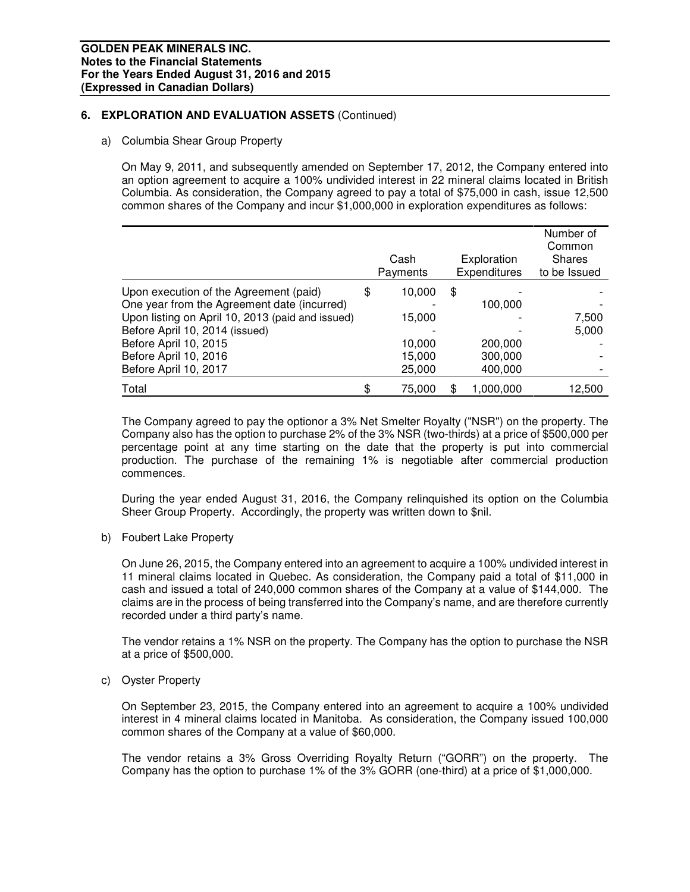# **6. EXPLORATION AND EVALUATION ASSETS** (Continued)

a) Columbia Shear Group Property

On May 9, 2011, and subsequently amended on September 17, 2012, the Company entered into an option agreement to acquire a 100% undivided interest in 22 mineral claims located in British Columbia. As consideration, the Company agreed to pay a total of \$75,000 in cash, issue 12,500 common shares of the Company and incur \$1,000,000 in exploration expenditures as follows:

|                                                                                       | Cash<br>Payments | Exploration<br>Expenditures | Number of<br>Common<br><b>Shares</b><br>to be Issued |
|---------------------------------------------------------------------------------------|------------------|-----------------------------|------------------------------------------------------|
| Upon execution of the Agreement (paid)<br>One year from the Agreement date (incurred) | \$<br>10,000     | \$                          |                                                      |
| Upon listing on April 10, 2013 (paid and issued)                                      | 15,000           | 100,000                     | 7,500                                                |
| Before April 10, 2014 (issued)                                                        |                  |                             | 5,000                                                |
| Before April 10, 2015                                                                 | 10,000           | 200,000                     |                                                      |
| Before April 10, 2016                                                                 | 15,000           | 300,000                     |                                                      |
| Before April 10, 2017                                                                 | 25,000           | 400,000                     |                                                      |
| Total                                                                                 | \$<br>75,000     | 1,000,000                   | 12,500                                               |

The Company agreed to pay the optionor a 3% Net Smelter Royalty ("NSR") on the property. The Company also has the option to purchase 2% of the 3% NSR (two-thirds) at a price of \$500,000 per percentage point at any time starting on the date that the property is put into commercial production. The purchase of the remaining 1% is negotiable after commercial production commences.

During the year ended August 31, 2016, the Company relinquished its option on the Columbia Sheer Group Property. Accordingly, the property was written down to \$nil.

b) Foubert Lake Property

On June 26, 2015, the Company entered into an agreement to acquire a 100% undivided interest in 11 mineral claims located in Quebec. As consideration, the Company paid a total of \$11,000 in cash and issued a total of 240,000 common shares of the Company at a value of \$144,000. The claims are in the process of being transferred into the Company's name, and are therefore currently recorded under a third party's name.

The vendor retains a 1% NSR on the property. The Company has the option to purchase the NSR at a price of \$500,000.

c) Oyster Property

On September 23, 2015, the Company entered into an agreement to acquire a 100% undivided interest in 4 mineral claims located in Manitoba. As consideration, the Company issued 100,000 common shares of the Company at a value of \$60,000.

The vendor retains a 3% Gross Overriding Royalty Return ("GORR") on the property. The Company has the option to purchase 1% of the 3% GORR (one-third) at a price of \$1,000,000.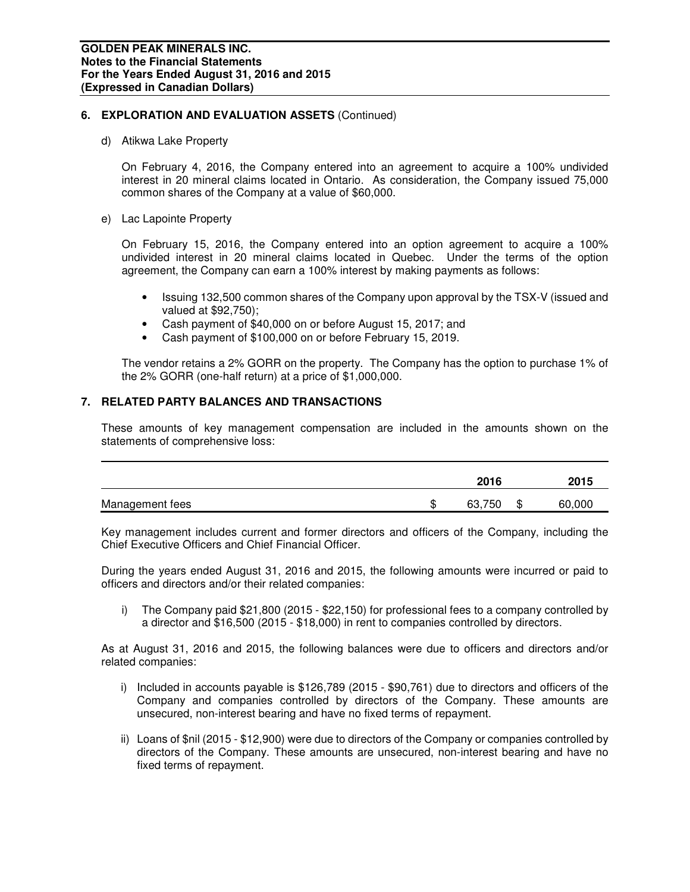# **6. EXPLORATION AND EVALUATION ASSETS** (Continued)

d) Atikwa Lake Property

On February 4, 2016, the Company entered into an agreement to acquire a 100% undivided interest in 20 mineral claims located in Ontario. As consideration, the Company issued 75,000 common shares of the Company at a value of \$60,000.

e) Lac Lapointe Property

On February 15, 2016, the Company entered into an option agreement to acquire a 100% undivided interest in 20 mineral claims located in Quebec. Under the terms of the option agreement, the Company can earn a 100% interest by making payments as follows:

- Issuing 132,500 common shares of the Company upon approval by the TSX-V (issued and valued at \$92,750);
- Cash payment of \$40,000 on or before August 15, 2017; and
- Cash payment of \$100,000 on or before February 15, 2019.

The vendor retains a 2% GORR on the property. The Company has the option to purchase 1% of the 2% GORR (one-half return) at a price of \$1,000,000.

# **7. RELATED PARTY BALANCES AND TRANSACTIONS**

These amounts of key management compensation are included in the amounts shown on the statements of comprehensive loss:

|                 |    | 2016      |   | 2015   |
|-----------------|----|-----------|---|--------|
| Management fees | ιD | 750<br>63 | Œ | 60,000 |

Key management includes current and former directors and officers of the Company, including the Chief Executive Officers and Chief Financial Officer.

During the years ended August 31, 2016 and 2015, the following amounts were incurred or paid to officers and directors and/or their related companies:

i) The Company paid \$21,800 (2015 - \$22,150) for professional fees to a company controlled by a director and \$16,500 (2015 - \$18,000) in rent to companies controlled by directors.

As at August 31, 2016 and 2015, the following balances were due to officers and directors and/or related companies:

- i) Included in accounts payable is \$126,789 (2015 \$90,761) due to directors and officers of the Company and companies controlled by directors of the Company. These amounts are unsecured, non-interest bearing and have no fixed terms of repayment.
- ii) Loans of \$nil (2015 \$12,900) were due to directors of the Company or companies controlled by directors of the Company. These amounts are unsecured, non-interest bearing and have no fixed terms of repayment.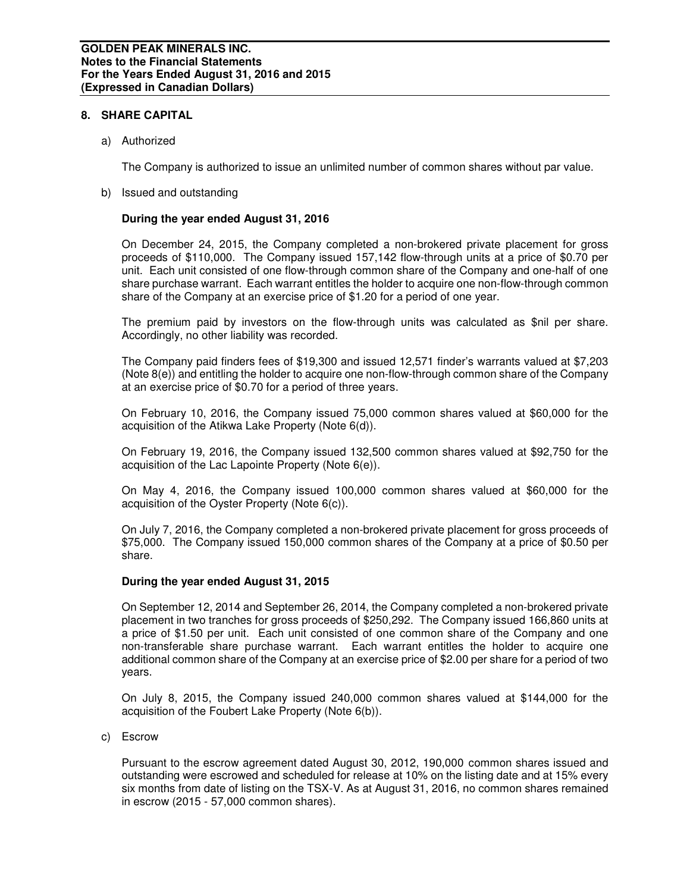## **8. SHARE CAPITAL**

a) Authorized

The Company is authorized to issue an unlimited number of common shares without par value.

b) Issued and outstanding

# **During the year ended August 31, 2016**

On December 24, 2015, the Company completed a non-brokered private placement for gross proceeds of \$110,000. The Company issued 157,142 flow-through units at a price of \$0.70 per unit. Each unit consisted of one flow-through common share of the Company and one-half of one share purchase warrant. Each warrant entitles the holder to acquire one non-flow-through common share of the Company at an exercise price of \$1.20 for a period of one year.

The premium paid by investors on the flow-through units was calculated as \$nil per share. Accordingly, no other liability was recorded.

The Company paid finders fees of \$19,300 and issued 12,571 finder's warrants valued at \$7,203 (Note 8(e)) and entitling the holder to acquire one non-flow-through common share of the Company at an exercise price of \$0.70 for a period of three years.

On February 10, 2016, the Company issued 75,000 common shares valued at \$60,000 for the acquisition of the Atikwa Lake Property (Note 6(d)).

On February 19, 2016, the Company issued 132,500 common shares valued at \$92,750 for the acquisition of the Lac Lapointe Property (Note 6(e)).

On May 4, 2016, the Company issued 100,000 common shares valued at \$60,000 for the acquisition of the Oyster Property (Note 6(c)).

On July 7, 2016, the Company completed a non-brokered private placement for gross proceeds of \$75,000. The Company issued 150,000 common shares of the Company at a price of \$0.50 per share.

## **During the year ended August 31, 2015**

On September 12, 2014 and September 26, 2014, the Company completed a non-brokered private placement in two tranches for gross proceeds of \$250,292. The Company issued 166,860 units at a price of \$1.50 per unit. Each unit consisted of one common share of the Company and one non-transferable share purchase warrant. Each warrant entitles the holder to acquire one additional common share of the Company at an exercise price of \$2.00 per share for a period of two years.

On July 8, 2015, the Company issued 240,000 common shares valued at \$144,000 for the acquisition of the Foubert Lake Property (Note 6(b)).

c) Escrow

Pursuant to the escrow agreement dated August 30, 2012, 190,000 common shares issued and outstanding were escrowed and scheduled for release at 10% on the listing date and at 15% every six months from date of listing on the TSX-V. As at August 31, 2016, no common shares remained in escrow (2015 - 57,000 common shares).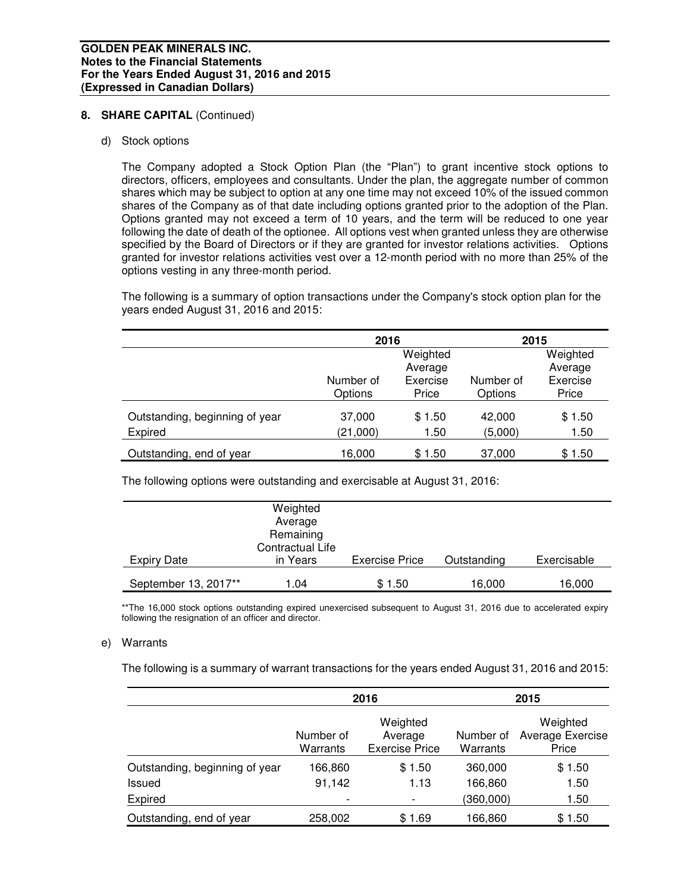# 8. **SHARE CAPITAL** (Continued)

d) Stock options

The Company adopted a Stock Option Plan (the "Plan") to grant incentive stock options to directors, officers, employees and consultants. Under the plan, the aggregate number of common shares which may be subject to option at any one time may not exceed 10% of the issued common shares of the Company as of that date including options granted prior to the adoption of the Plan. Options granted may not exceed a term of 10 years, and the term will be reduced to one year following the date of death of the optionee. All options vest when granted unless they are otherwise specified by the Board of Directors or if they are granted for investor relations activities. Options granted for investor relations activities vest over a 12-month period with no more than 25% of the options vesting in any three-month period.

The following is a summary of option transactions under the Company's stock option plan for the years ended August 31, 2016 and 2015:

|                                | 2016                 |                   | 2015                 |                   |  |  |
|--------------------------------|----------------------|-------------------|----------------------|-------------------|--|--|
|                                |                      |                   | Weighted<br>Average  |                   |  |  |
|                                | Number of<br>Options | Exercise<br>Price | Number of<br>Options | Exercise<br>Price |  |  |
| Outstanding, beginning of year | 37,000               | \$1.50            | 42,000               | \$1.50            |  |  |
| Expired                        | (21,000)             | 1.50              | (5,000)              | 1.50              |  |  |
| Outstanding, end of year       | 16,000               | \$1.50            | 37,000               | \$1.50            |  |  |

The following options were outstanding and exercisable at August 31, 2016:

|                      | Weighted<br>Average<br>Remaining<br>Contractual Life |                       |             |             |
|----------------------|------------------------------------------------------|-----------------------|-------------|-------------|
| <b>Expiry Date</b>   | in Years                                             | <b>Exercise Price</b> | Outstanding | Exercisable |
| September 13, 2017** | 1.04                                                 | \$1.50                | 16,000      | 16,000      |

\*\*The 16,000 stock options outstanding expired unexercised subsequent to August 31, 2016 due to accelerated expiry following the resignation of an officer and director.

# e) Warrants

The following is a summary of warrant transactions for the years ended August 31, 2016 and 2015:

|                                |                          | 2016                                         |                       | 2015                                  |
|--------------------------------|--------------------------|----------------------------------------------|-----------------------|---------------------------------------|
|                                | Number of<br>Warrants    | Weighted<br>Average<br><b>Exercise Price</b> | Number of<br>Warrants | Weighted<br>Average Exercise<br>Price |
| Outstanding, beginning of year | 166,860                  | \$1.50                                       | 360,000               | \$1.50                                |
| Issued                         | 91,142                   | 1.13                                         | 166,860               | 1.50                                  |
| Expired                        | $\overline{\phantom{a}}$ | $\overline{\phantom{a}}$                     | (360,000)             | 1.50                                  |
| Outstanding, end of year       | 258,002                  | \$1.69                                       | 166,860               | \$1.50                                |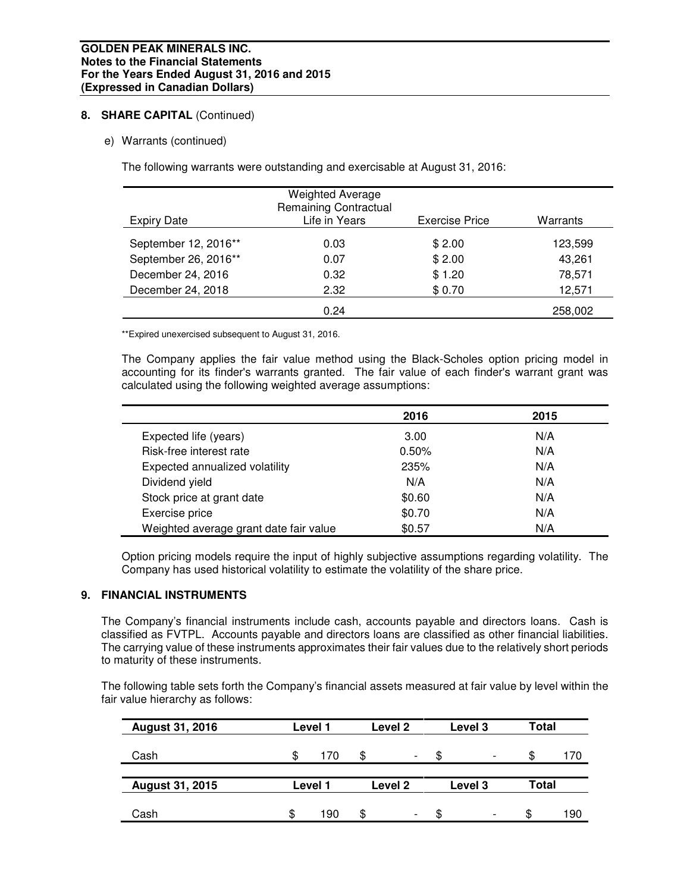# 8. **SHARE CAPITAL** (Continued)

# e) Warrants (continued)

The following warrants were outstanding and exercisable at August 31, 2016:

| <b>Expiry Date</b>   | <b>Weighted Average</b><br><b>Remaining Contractual</b><br>Life in Years | Exercise Price | Warrants |
|----------------------|--------------------------------------------------------------------------|----------------|----------|
| September 12, 2016** | 0.03                                                                     | \$2.00         | 123,599  |
| September 26, 2016** | 0.07                                                                     | \$2.00         | 43,261   |
| December 24, 2016    | 0.32                                                                     | \$1.20         | 78,571   |
| December 24, 2018    | 2.32                                                                     | \$0.70         | 12,571   |
|                      | 0.24                                                                     |                | 258,002  |

\*\*Expired unexercised subsequent to August 31, 2016.

The Company applies the fair value method using the Black-Scholes option pricing model in accounting for its finder's warrants granted. The fair value of each finder's warrant grant was calculated using the following weighted average assumptions:

|                                        | 2016   | 2015 |
|----------------------------------------|--------|------|
| Expected life (years)                  | 3.00   | N/A  |
| Risk-free interest rate                | 0.50%  | N/A  |
| Expected annualized volatility         | 235%   | N/A  |
| Dividend yield                         | N/A    | N/A  |
| Stock price at grant date              | \$0.60 | N/A  |
| Exercise price                         | \$0.70 | N/A  |
| Weighted average grant date fair value | \$0.57 | N/A  |

Option pricing models require the input of highly subjective assumptions regarding volatility. The Company has used historical volatility to estimate the volatility of the share price.

# **9. FINANCIAL INSTRUMENTS**

The Company's financial instruments include cash, accounts payable and directors loans. Cash is classified as FVTPL. Accounts payable and directors loans are classified as other financial liabilities. The carrying value of these instruments approximates their fair values due to the relatively short periods to maturity of these instruments.

The following table sets forth the Company's financial assets measured at fair value by level within the fair value hierarchy as follows:

| <b>August 31, 2016</b> |    | Level 1 |    | Level 2                  |    | Level 3                  | Total        |     |
|------------------------|----|---------|----|--------------------------|----|--------------------------|--------------|-----|
| Cash                   | S  | 170     | S  | $\overline{\phantom{0}}$ | £. | $\overline{\phantom{a}}$ | \$.          | 170 |
| <b>August 31, 2015</b> |    | Level 1 |    | Level 2                  |    | Level 3                  | <b>Total</b> |     |
|                        |    |         |    |                          |    |                          |              |     |
| Cash                   | S. | 190     | \$ | $\overline{\phantom{0}}$ | ß. | $\overline{\phantom{a}}$ | S            | 190 |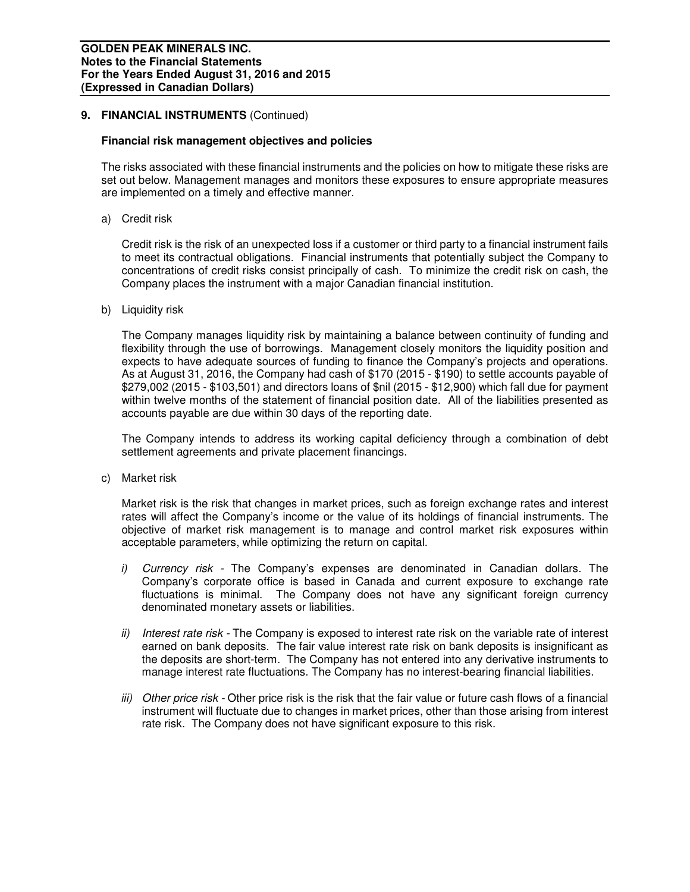# 9. FINANCIAL INSTRUMENTS (Continued)

#### **Financial risk management objectives and policies**

The risks associated with these financial instruments and the policies on how to mitigate these risks are set out below. Management manages and monitors these exposures to ensure appropriate measures are implemented on a timely and effective manner.

a) Credit risk

Credit risk is the risk of an unexpected loss if a customer or third party to a financial instrument fails to meet its contractual obligations. Financial instruments that potentially subject the Company to concentrations of credit risks consist principally of cash. To minimize the credit risk on cash, the Company places the instrument with a major Canadian financial institution.

b) Liquidity risk

The Company manages liquidity risk by maintaining a balance between continuity of funding and flexibility through the use of borrowings. Management closely monitors the liquidity position and expects to have adequate sources of funding to finance the Company's projects and operations. As at August 31, 2016, the Company had cash of \$170 (2015 - \$190) to settle accounts payable of \$279,002 (2015 - \$103,501) and directors loans of \$nil (2015 - \$12,900) which fall due for payment within twelve months of the statement of financial position date. All of the liabilities presented as accounts payable are due within 30 days of the reporting date.

The Company intends to address its working capital deficiency through a combination of debt settlement agreements and private placement financings.

c) Market risk

Market risk is the risk that changes in market prices, such as foreign exchange rates and interest rates will affect the Company's income or the value of its holdings of financial instruments. The objective of market risk management is to manage and control market risk exposures within acceptable parameters, while optimizing the return on capital.

- i) Currency risk The Company's expenses are denominated in Canadian dollars. The Company's corporate office is based in Canada and current exposure to exchange rate fluctuations is minimal. The Company does not have any significant foreign currency denominated monetary assets or liabilities.
- ii) Interest rate risk The Company is exposed to interest rate risk on the variable rate of interest earned on bank deposits. The fair value interest rate risk on bank deposits is insignificant as the deposits are short-term. The Company has not entered into any derivative instruments to manage interest rate fluctuations. The Company has no interest-bearing financial liabilities.
- iii) Other price risk Other price risk is the risk that the fair value or future cash flows of a financial instrument will fluctuate due to changes in market prices, other than those arising from interest rate risk. The Company does not have significant exposure to this risk.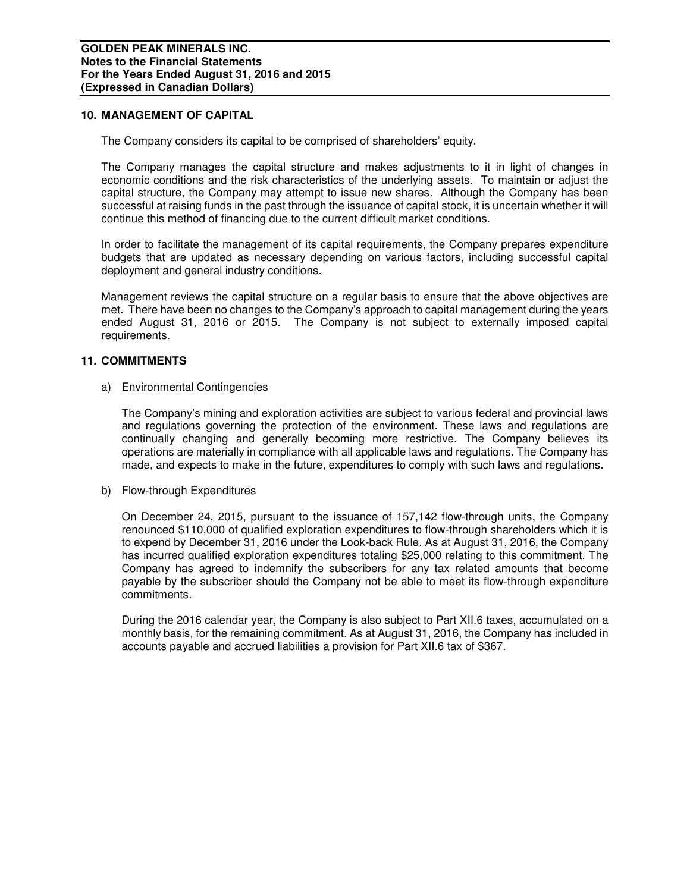## **10. MANAGEMENT OF CAPITAL**

The Company considers its capital to be comprised of shareholders' equity.

The Company manages the capital structure and makes adjustments to it in light of changes in economic conditions and the risk characteristics of the underlying assets. To maintain or adjust the capital structure, the Company may attempt to issue new shares. Although the Company has been successful at raising funds in the past through the issuance of capital stock, it is uncertain whether it will continue this method of financing due to the current difficult market conditions.

In order to facilitate the management of its capital requirements, the Company prepares expenditure budgets that are updated as necessary depending on various factors, including successful capital deployment and general industry conditions.

Management reviews the capital structure on a regular basis to ensure that the above objectives are met. There have been no changes to the Company's approach to capital management during the years ended August 31, 2016 or 2015. The Company is not subject to externally imposed capital requirements.

## **11. COMMITMENTS**

a) Environmental Contingencies

The Company's mining and exploration activities are subject to various federal and provincial laws and regulations governing the protection of the environment. These laws and regulations are continually changing and generally becoming more restrictive. The Company believes its operations are materially in compliance with all applicable laws and regulations. The Company has made, and expects to make in the future, expenditures to comply with such laws and regulations.

b) Flow-through Expenditures

On December 24, 2015, pursuant to the issuance of 157,142 flow-through units, the Company renounced \$110,000 of qualified exploration expenditures to flow-through shareholders which it is to expend by December 31, 2016 under the Look-back Rule. As at August 31, 2016, the Company has incurred qualified exploration expenditures totaling \$25,000 relating to this commitment. The Company has agreed to indemnify the subscribers for any tax related amounts that become payable by the subscriber should the Company not be able to meet its flow-through expenditure commitments.

During the 2016 calendar year, the Company is also subject to Part XII.6 taxes, accumulated on a monthly basis, for the remaining commitment. As at August 31, 2016, the Company has included in accounts payable and accrued liabilities a provision for Part XII.6 tax of \$367.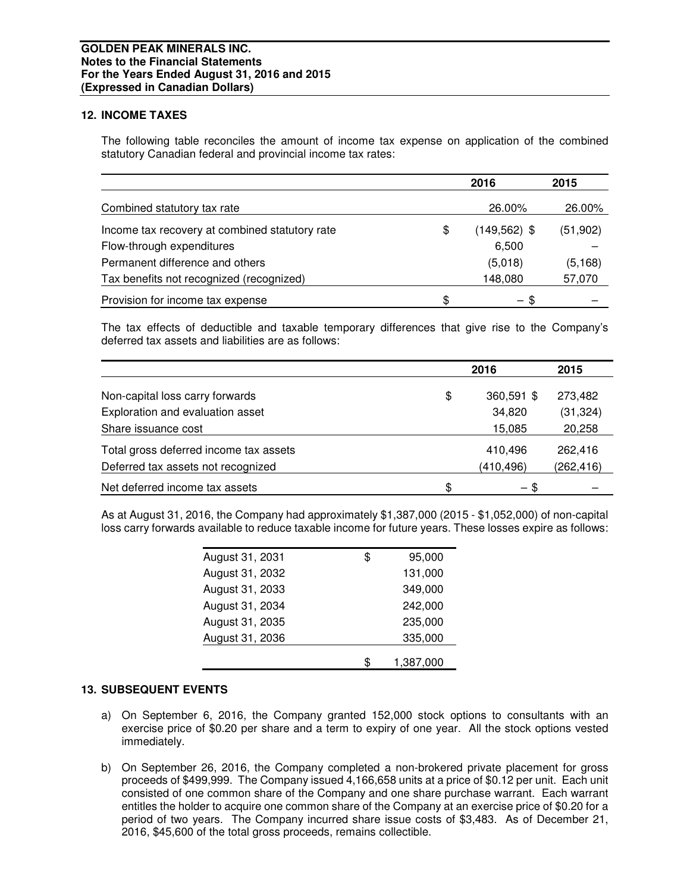# **12. INCOME TAXES**

The following table reconciles the amount of income tax expense on application of the combined statutory Canadian federal and provincial income tax rates:

|                                                | 2016                  | 2015      |
|------------------------------------------------|-----------------------|-----------|
| Combined statutory tax rate                    | 26.00%                | 26.00%    |
| Income tax recovery at combined statutory rate | \$<br>$(149, 562)$ \$ | (51, 902) |
| Flow-through expenditures                      | 6,500                 |           |
| Permanent difference and others                | (5,018)               | (5, 168)  |
| Tax benefits not recognized (recognized)       | 148,080               | 57,070    |
| Provision for income tax expense               | \$<br>- \$            |           |

The tax effects of deductible and taxable temporary differences that give rise to the Company's deferred tax assets and liabilities are as follows:

|                                        | 2016             | 2015       |
|----------------------------------------|------------------|------------|
| Non-capital loss carry forwards        | \$<br>360,591 \$ | 273,482    |
| Exploration and evaluation asset       | 34,820           | (31, 324)  |
| Share issuance cost                    | 15,085           | 20,258     |
| Total gross deferred income tax assets | 410,496          | 262,416    |
| Deferred tax assets not recognized     | (410, 496)       | (262, 416) |
| Net deferred income tax assets         | \$<br>- \$       |            |

As at August 31, 2016, the Company had approximately \$1,387,000 (2015 - \$1,052,000) of non-capital loss carry forwards available to reduce taxable income for future years. These losses expire as follows:

| August 31, 2031 | \$<br>95,000 |
|-----------------|--------------|
| August 31, 2032 | 131,000      |
| August 31, 2033 | 349,000      |
| August 31, 2034 | 242,000      |
| August 31, 2035 | 235,000      |
| August 31, 2036 | 335,000      |
|                 | 1,387,000    |

# **13. SUBSEQUENT EVENTS**

- a) On September 6, 2016, the Company granted 152,000 stock options to consultants with an exercise price of \$0.20 per share and a term to expiry of one year. All the stock options vested immediately.
- b) On September 26, 2016, the Company completed a non-brokered private placement for gross proceeds of \$499,999. The Company issued 4,166,658 units at a price of \$0.12 per unit. Each unit consisted of one common share of the Company and one share purchase warrant. Each warrant entitles the holder to acquire one common share of the Company at an exercise price of \$0.20 for a period of two years. The Company incurred share issue costs of \$3,483. As of December 21, 2016, \$45,600 of the total gross proceeds, remains collectible.